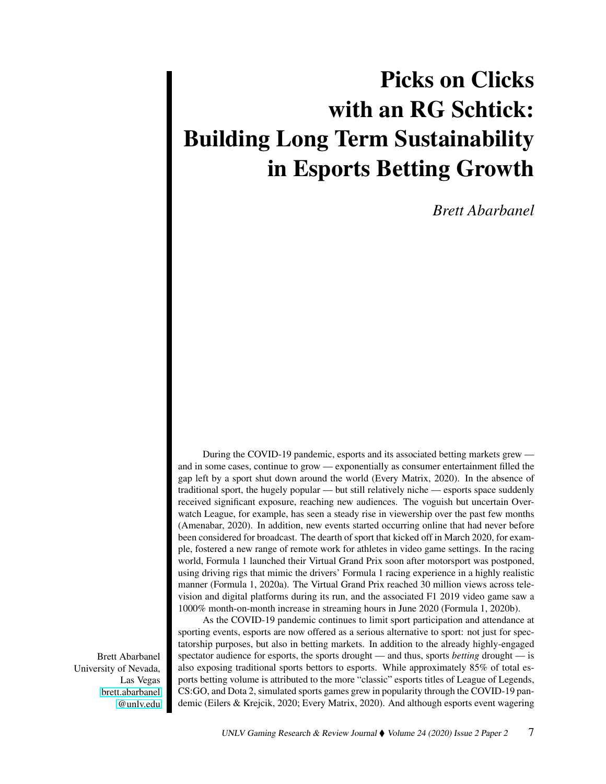## Picks on Clicks with an RG Schtick: Building Long Term Sustainability in Esports Betting Growth

*Brett Abarbanel*

During the COVID-19 pandemic, esports and its associated betting markets grew and in some cases, continue to grow — exponentially as consumer entertainment filled the gap left by a sport shut down around the world (Every Matrix, 2020). In the absence of traditional sport, the hugely popular — but still relatively niche — esports space suddenly received significant exposure, reaching new audiences. The voguish but uncertain Overwatch League, for example, has seen a steady rise in viewership over the past few months (Amenabar, 2020). In addition, new events started occurring online that had never before been considered for broadcast. The dearth of sport that kicked off in March 2020, for example, fostered a new range of remote work for athletes in video game settings. In the racing world, Formula 1 launched their Virtual Grand Prix soon after motorsport was postponed, using driving rigs that mimic the drivers' Formula 1 racing experience in a highly realistic manner (Formula 1, 2020a). The Virtual Grand Prix reached 30 million views across television and digital platforms during its run, and the associated F1 2019 video game saw a 1000% month-on-month increase in streaming hours in June 2020 (Formula 1, 2020b).

As the COVID-19 pandemic continues to limit sport participation and attendance at sporting events, esports are now offered as a serious alternative to sport: not just for spectatorship purposes, but also in betting markets. In addition to the already highly-engaged spectator audience for esports, the sports drought — and thus, sports *betting* drought — is also exposing traditional sports bettors to esports. While approximately 85% of total esports betting volume is attributed to the more "classic" esports titles of League of Legends, CS:GO, and Dota 2, simulated sports games grew in popularity through the COVID-19 pandemic (Eilers & Krejcik, 2020; Every Matrix, 2020). And although esports event wagering

Brett Abarbanel University of Nevada, Las Vegas [brett.abarbanel](mailto:brett.abarbanel@unlv.edu) [@unlv.edu](mailto:brett.abarbanel@unlv.edu)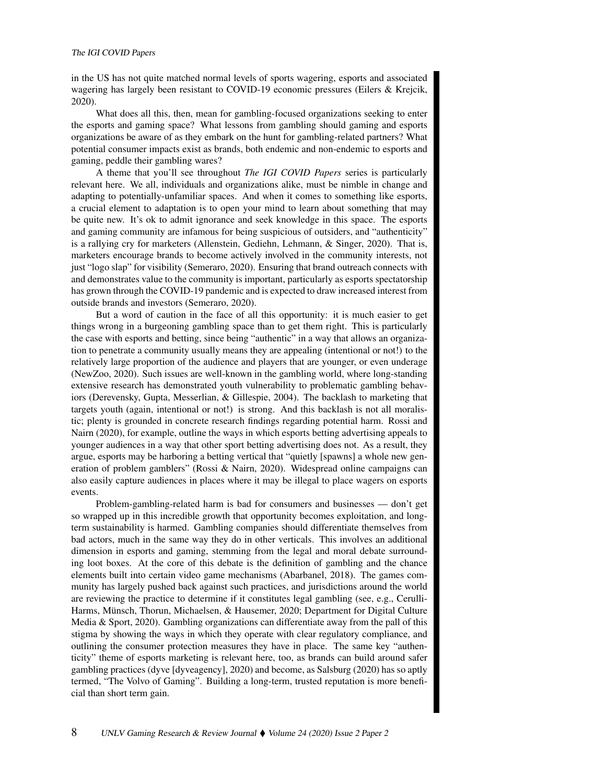in the US has not quite matched normal levels of sports wagering, esports and associated wagering has largely been resistant to COVID-19 economic pressures (Eilers & Krejcik, 2020).

What does all this, then, mean for gambling-focused organizations seeking to enter the esports and gaming space? What lessons from gambling should gaming and esports organizations be aware of as they embark on the hunt for gambling-related partners? What potential consumer impacts exist as brands, both endemic and non-endemic to esports and gaming, peddle their gambling wares?

A theme that you'll see throughout *The IGI COVID Papers* series is particularly relevant here. We all, individuals and organizations alike, must be nimble in change and adapting to potentially-unfamiliar spaces. And when it comes to something like esports, a crucial element to adaptation is to open your mind to learn about something that may be quite new. It's ok to admit ignorance and seek knowledge in this space. The esports and gaming community are infamous for being suspicious of outsiders, and "authenticity" is a rallying cry for marketers (Allenstein, Gediehn, Lehmann, & Singer, 2020). That is, marketers encourage brands to become actively involved in the community interests, not just "logo slap" for visibility (Semeraro, 2020). Ensuring that brand outreach connects with and demonstrates value to the community is important, particularly as esports spectatorship has grown through the COVID-19 pandemic and is expected to draw increased interest from outside brands and investors (Semeraro, 2020).

But a word of caution in the face of all this opportunity: it is much easier to get things wrong in a burgeoning gambling space than to get them right. This is particularly the case with esports and betting, since being "authentic" in a way that allows an organization to penetrate a community usually means they are appealing (intentional or not!) to the relatively large proportion of the audience and players that are younger, or even underage (NewZoo, 2020). Such issues are well-known in the gambling world, where long-standing extensive research has demonstrated youth vulnerability to problematic gambling behaviors (Derevensky, Gupta, Messerlian, & Gillespie, 2004). The backlash to marketing that targets youth (again, intentional or not!) is strong. And this backlash is not all moralistic; plenty is grounded in concrete research findings regarding potential harm. Rossi and Nairn (2020), for example, outline the ways in which esports betting advertising appeals to younger audiences in a way that other sport betting advertising does not. As a result, they argue, esports may be harboring a betting vertical that "quietly [spawns] a whole new generation of problem gamblers" (Rossi & Nairn, 2020). Widespread online campaigns can also easily capture audiences in places where it may be illegal to place wagers on esports events.

Problem-gambling-related harm is bad for consumers and businesses — don't get so wrapped up in this incredible growth that opportunity becomes exploitation, and longterm sustainability is harmed. Gambling companies should differentiate themselves from bad actors, much in the same way they do in other verticals. This involves an additional dimension in esports and gaming, stemming from the legal and moral debate surrounding loot boxes. At the core of this debate is the definition of gambling and the chance elements built into certain video game mechanisms (Abarbanel, 2018). The games community has largely pushed back against such practices, and jurisdictions around the world are reviewing the practice to determine if it constitutes legal gambling (see, e.g., Cerulli-Harms, Münsch, Thorun, Michaelsen, & Hausemer, 2020; Department for Digital Culture Media & Sport, 2020). Gambling organizations can differentiate away from the pall of this stigma by showing the ways in which they operate with clear regulatory compliance, and outlining the consumer protection measures they have in place. The same key "authenticity" theme of esports marketing is relevant here, too, as brands can build around safer gambling practices (dyve [dyveagency], 2020) and become, as Salsburg (2020) has so aptly termed, "The Volvo of Gaming". Building a long-term, trusted reputation is more beneficial than short term gain.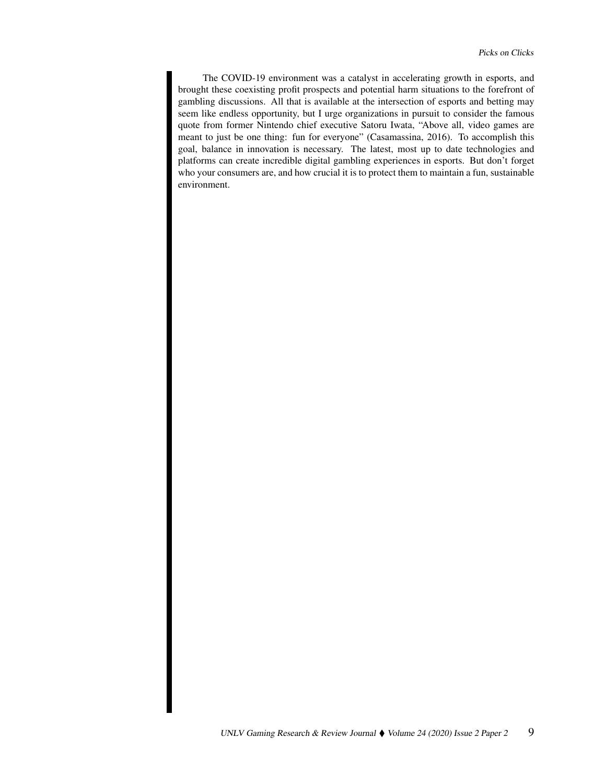The COVID-19 environment was a catalyst in accelerating growth in esports, and brought these coexisting profit prospects and potential harm situations to the forefront of gambling discussions. All that is available at the intersection of esports and betting may seem like endless opportunity, but I urge organizations in pursuit to consider the famous quote from former Nintendo chief executive Satoru Iwata, "Above all, video games are meant to just be one thing: fun for everyone" (Casamassina, 2016). To accomplish this goal, balance in innovation is necessary. The latest, most up to date technologies and platforms can create incredible digital gambling experiences in esports. But don't forget who your consumers are, and how crucial it is to protect them to maintain a fun, sustainable environment.